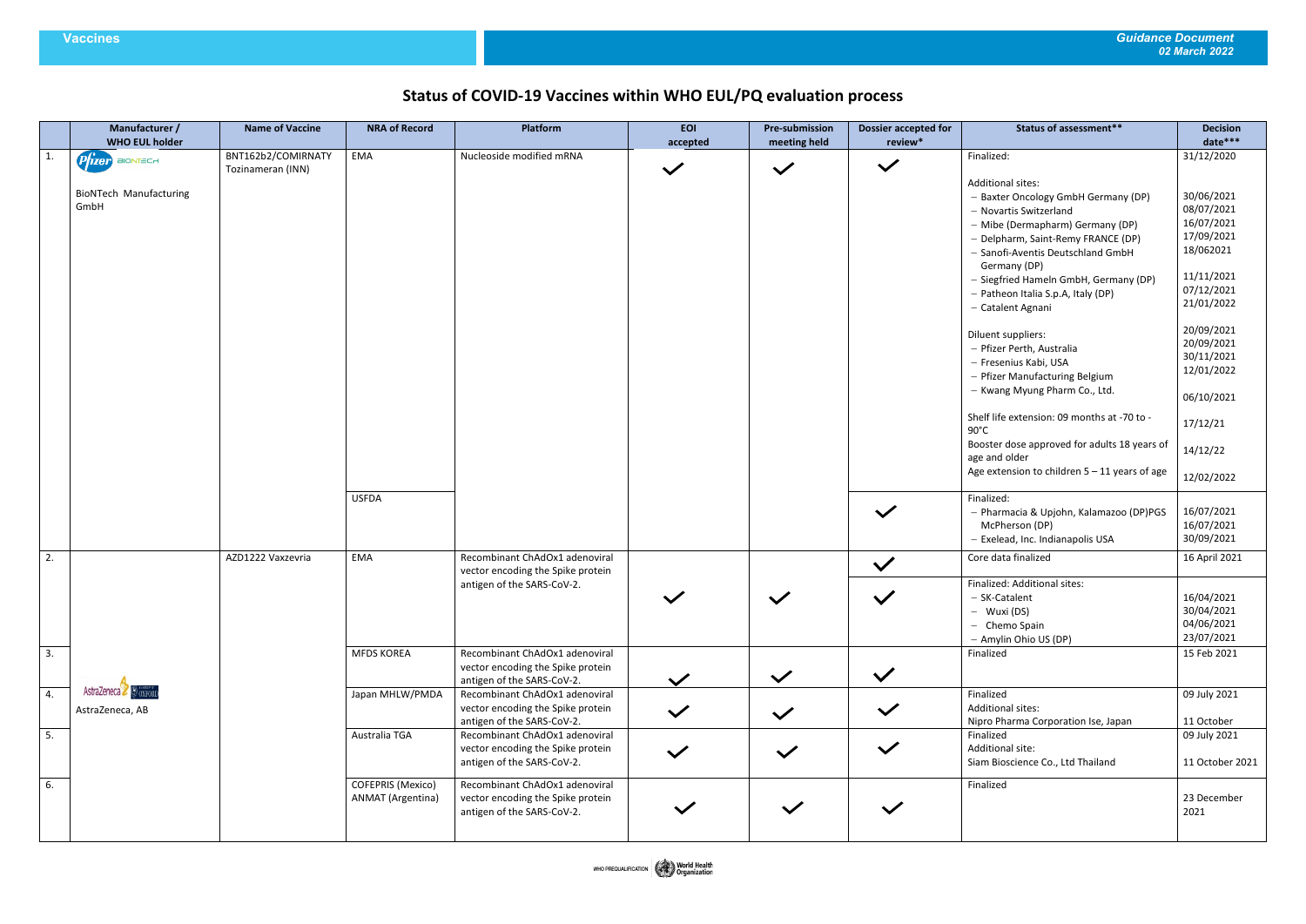# **Status of COVID-19 Vaccines within WHO EUL/PQ evaluation process**

|                  | Manufacturer /<br><b>WHO EUL holder</b> | <b>Name of Vaccine</b> | <b>NRA of Record</b> | Platform                                                            | <b>EOI</b><br>accepted | <b>Pre-submission</b><br>meeting held | <b>Dossier accepted for</b><br>review* | <b>Status of assessment**</b>                                 | <b>Decision</b><br>date*** |
|------------------|-----------------------------------------|------------------------|----------------------|---------------------------------------------------------------------|------------------------|---------------------------------------|----------------------------------------|---------------------------------------------------------------|----------------------------|
| $\overline{1}$ . | Prizer BIONTECH                         | BNT162b2/COMIRNATY     | EMA                  | Nucleoside modified mRNA                                            |                        |                                       |                                        | Finalized:                                                    | 31/12/2020                 |
|                  |                                         | Tozinameran (INN)      |                      |                                                                     | $\checkmark$           | $\checkmark$                          | $\checkmark$                           |                                                               |                            |
|                  | <b>BioNTech Manufacturing</b>           |                        |                      |                                                                     |                        |                                       |                                        | <b>Additional sites:</b>                                      |                            |
|                  | GmbH                                    |                        |                      |                                                                     |                        |                                       |                                        | - Baxter Oncology GmbH Germany (DP)                           | 30/06/2021                 |
|                  |                                         |                        |                      |                                                                     |                        |                                       |                                        | - Novartis Switzerland                                        | 08/07/2021<br>16/07/2021   |
|                  |                                         |                        |                      |                                                                     |                        |                                       |                                        | - Mibe (Dermapharm) Germany (DP)                              | 17/09/2021                 |
|                  |                                         |                        |                      |                                                                     |                        |                                       |                                        | - Delpharm, Saint-Remy FRANCE (DP)                            | 18/062021                  |
|                  |                                         |                        |                      |                                                                     |                        |                                       |                                        | - Sanofi-Aventis Deutschland GmbH<br>Germany (DP)             |                            |
|                  |                                         |                        |                      |                                                                     |                        |                                       |                                        | - Siegfried Hameln GmbH, Germany (DP)                         | 11/11/2021                 |
|                  |                                         |                        |                      |                                                                     |                        |                                       |                                        | - Patheon Italia S.p.A, Italy (DP)                            | 07/12/2021                 |
|                  |                                         |                        |                      |                                                                     |                        |                                       |                                        | - Catalent Agnani                                             | 21/01/2022                 |
|                  |                                         |                        |                      |                                                                     |                        |                                       |                                        | Diluent suppliers:                                            | 20/09/2021                 |
|                  |                                         |                        |                      |                                                                     |                        |                                       |                                        | - Pfizer Perth, Australia                                     | 20/09/2021                 |
|                  |                                         |                        |                      |                                                                     |                        |                                       |                                        | - Fresenius Kabi, USA                                         | 30/11/2021<br>12/01/2022   |
|                  |                                         |                        |                      |                                                                     |                        |                                       |                                        | - Pfizer Manufacturing Belgium                                |                            |
|                  |                                         |                        |                      |                                                                     |                        |                                       |                                        | - Kwang Myung Pharm Co., Ltd.                                 | 06/10/2021                 |
|                  |                                         |                        |                      |                                                                     |                        |                                       |                                        | Shelf life extension: 09 months at -70 to -<br>$90^{\circ}$ C | 17/12/21                   |
|                  |                                         |                        |                      |                                                                     |                        |                                       |                                        | Booster dose approved for adults 18 years of<br>age and older | 14/12/22                   |
|                  |                                         |                        |                      |                                                                     |                        |                                       |                                        | Age extension to children $5 - 11$ years of age               | 12/02/2022                 |
|                  |                                         |                        | <b>USFDA</b>         |                                                                     |                        |                                       |                                        | Finalized:                                                    |                            |
|                  |                                         |                        |                      |                                                                     |                        |                                       | $\checkmark$                           | - Pharmacia & Upjohn, Kalamazoo (DP)PGS                       | 16/07/2021                 |
|                  |                                         |                        |                      |                                                                     |                        |                                       |                                        | McPherson (DP)                                                | 16/07/2021                 |
|                  |                                         |                        |                      |                                                                     |                        |                                       |                                        | - Exelead, Inc. Indianapolis USA                              | 30/09/2021                 |
| 2.               |                                         | AZD1222 Vaxzevria      | EMA                  | Recombinant ChAdOx1 adenoviral<br>vector encoding the Spike protein |                        |                                       | $\checkmark$                           | Core data finalized                                           | 16 April 2021              |
|                  |                                         |                        |                      | antigen of the SARS-CoV-2.                                          |                        |                                       |                                        | Finalized: Additional sites:                                  |                            |
|                  |                                         |                        |                      |                                                                     |                        | $\checkmark$                          | $\checkmark$                           | - SK-Catalent                                                 | 16/04/2021                 |
|                  |                                         |                        |                      |                                                                     |                        |                                       |                                        | - Wuxi (DS)                                                   | 30/04/2021                 |
|                  |                                         |                        |                      |                                                                     |                        |                                       |                                        | - Chemo Spain                                                 | 04/06/2021                 |
|                  |                                         |                        |                      |                                                                     |                        |                                       |                                        | - Amylin Ohio US (DP)                                         | 23/07/2021                 |
| 3.               |                                         |                        | <b>MFDS KOREA</b>    | Recombinant ChAdOx1 adenoviral                                      |                        |                                       |                                        | Finalized                                                     | 15 Feb 2021                |
|                  |                                         |                        |                      | vector encoding the Spike protein<br>antigen of the SARS-CoV-2.     | $\checkmark$           | $\checkmark$                          | $\checkmark$                           |                                                               |                            |
| 4.               | AstraZeneca & OXFORD                    |                        | Japan MHLW/PMDA      | Recombinant ChAdOx1 adenoviral                                      |                        |                                       |                                        | Finalized                                                     | 09 July 2021               |
|                  | AstraZeneca, AB                         |                        |                      | vector encoding the Spike protein                                   | $\checkmark$           |                                       | $\checkmark$                           | <b>Additional sites:</b>                                      |                            |
|                  |                                         |                        |                      | antigen of the SARS-CoV-2.                                          |                        | $\checkmark$                          |                                        | Nipro Pharma Corporation Ise, Japan                           | 11 October                 |
| 5.               |                                         |                        | Australia TGA        | Recombinant ChAdOx1 adenoviral                                      |                        |                                       |                                        | Finalized                                                     | 09 July 2021               |
|                  |                                         |                        |                      | vector encoding the Spike protein<br>antigen of the SARS-CoV-2.     | $\checkmark$           | $\checkmark$                          | $\checkmark$                           | Additional site:<br>Siam Bioscience Co., Ltd Thailand         | 11 October 2021            |
|                  |                                         |                        |                      |                                                                     |                        |                                       |                                        |                                                               |                            |
| 6.               |                                         |                        | COFEPRIS (Mexico)    | Recombinant ChAdOx1 adenoviral                                      |                        |                                       |                                        | Finalized                                                     |                            |
|                  |                                         |                        | ANMAT (Argentina)    | vector encoding the Spike protein                                   | $\checkmark$           | $\checkmark$                          | $\checkmark$                           |                                                               | 23 December                |
|                  |                                         |                        |                      | antigen of the SARS-CoV-2.                                          |                        |                                       |                                        |                                                               | 2021                       |
|                  |                                         |                        |                      |                                                                     |                        |                                       |                                        |                                                               |                            |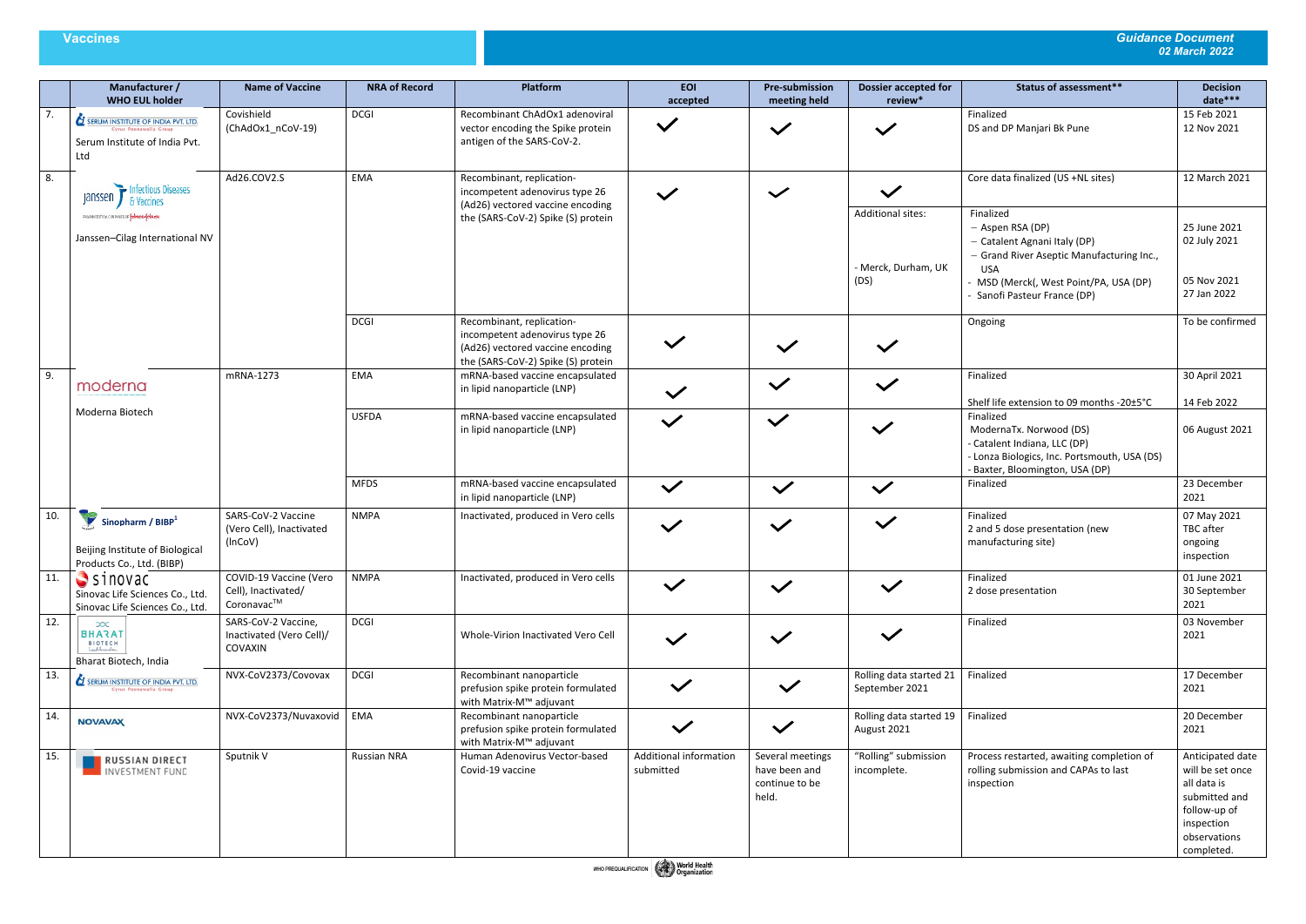|     | Manufacturer /<br><b>WHO EUL holder</b>                                                                             | <b>Name of Vaccine</b>                                      | <b>NRA of Record</b> | Platform                                                                                                                              | <b>EOI</b><br>accepted              | <b>Pre-submission</b><br>meeting held                        | <b>Dossier accepted for</b><br>review*                  | <b>Status of assessment**</b>                                                                                                                                                                    | <b>Decision</b><br>date***                                                                                                       |
|-----|---------------------------------------------------------------------------------------------------------------------|-------------------------------------------------------------|----------------------|---------------------------------------------------------------------------------------------------------------------------------------|-------------------------------------|--------------------------------------------------------------|---------------------------------------------------------|--------------------------------------------------------------------------------------------------------------------------------------------------------------------------------------------------|----------------------------------------------------------------------------------------------------------------------------------|
| 7.  | <b>SERUM INSTITUTE OF INDIA PVT. LTD.</b><br>Cyrus Poonawalla Group<br>Serum Institute of India Pvt.<br>Ltd         | Covishield<br>(ChAdOx1_nCoV-19)                             | <b>DCGI</b>          | Recombinant ChAdOx1 adenoviral<br>vector encoding the Spike protein<br>antigen of the SARS-CoV-2.                                     | $\checkmark$                        | $\checkmark$                                                 | $\checkmark$                                            | Finalized<br>DS and DP Manjari Bk Pune                                                                                                                                                           | 15 Feb 2021<br>12 Nov 2021                                                                                                       |
| 8.  | Infectious Diseases<br>janssen<br>& Vaccines                                                                        | Ad26.COV2.S                                                 | EMA                  | Recombinant, replication-<br>incompetent adenovirus type 26<br>(Ad26) vectored vaccine encoding                                       | $\checkmark$                        | $\checkmark$                                                 | $\checkmark$                                            | Core data finalized (US +NL sites)                                                                                                                                                               | 12 March 2021                                                                                                                    |
|     | PHARMACEUTICAL CONPANIES OF YEAHION-YEAHIYEN<br>Janssen-Cilag International NV                                      |                                                             |                      | the (SARS-CoV-2) Spike (S) protein                                                                                                    |                                     |                                                              | <b>Additional sites:</b><br>- Merck, Durham, UK<br>(DS) | Finalized<br>- Aspen RSA (DP)<br>- Catalent Agnani Italy (DP)<br>- Grand River Aseptic Manufacturing Inc.,<br><b>USA</b><br>- MSD (Merck(, West Point/PA, USA (DP)<br>Sanofi Pasteur France (DP) | 25 June 2021<br>02 July 2021<br>05 Nov 2021<br>27 Jan 2022                                                                       |
|     |                                                                                                                     |                                                             | <b>DCGI</b>          | Recombinant, replication-<br>incompetent adenovirus type 26<br>(Ad26) vectored vaccine encoding<br>the (SARS-CoV-2) Spike (S) protein | $\checkmark$                        | $\checkmark$                                                 | $\checkmark$                                            | Ongoing                                                                                                                                                                                          | To be confirmed                                                                                                                  |
| 9.  | moderna                                                                                                             | mRNA-1273                                                   | EMA                  | mRNA-based vaccine encapsulated<br>in lipid nanoparticle (LNP)                                                                        | $\checkmark$                        | $\checkmark$                                                 | $\checkmark$                                            | Finalized<br>Shelf life extension to 09 months -20±5°C                                                                                                                                           | 30 April 2021<br>14 Feb 2022                                                                                                     |
|     | Moderna Biotech                                                                                                     |                                                             | <b>USFDA</b>         | mRNA-based vaccine encapsulated<br>in lipid nanoparticle (LNP)                                                                        | $\checkmark$                        | $\checkmark$                                                 | $\checkmark$                                            | Finalized<br>ModernaTx. Norwood (DS)<br>- Catalent Indiana, LLC (DP)<br>- Lonza Biologics, Inc. Portsmouth, USA (DS)<br>- Baxter, Bloomington, USA (DP)                                          | 06 August 2021                                                                                                                   |
|     |                                                                                                                     |                                                             | <b>MFDS</b>          | mRNA-based vaccine encapsulated<br>in lipid nanoparticle (LNP)                                                                        | $\checkmark$                        | $\checkmark$                                                 | $\checkmark$                                            | Finalized                                                                                                                                                                                        | 23 December<br>2021                                                                                                              |
| 10. | $\blacktriangleright$ Sinopharm / BIBP <sup>1</sup><br>Beijing Institute of Biological<br>Products Co., Ltd. (BIBP) | SARS-CoV-2 Vaccine<br>(Vero Cell), Inactivated<br>(InCoV)   | <b>NMPA</b>          | Inactivated, produced in Vero cells                                                                                                   | $\checkmark$                        | $\checkmark$                                                 | $\checkmark$                                            | Finalized<br>2 and 5 dose presentation (new<br>manufacturing site)                                                                                                                               | 07 May 2021<br>TBC after<br>ongoing<br>inspection                                                                                |
| 11. | $\blacktriangleright$ sinovac<br>Sinovac Life Sciences Co., Ltd.<br>Sinovac Life Sciences Co., Ltd.                 | COVID-19 Vaccine (Vero<br>Cell), Inactivated/<br>Coronavac™ | <b>NMPA</b>          | Inactivated, produced in Vero cells                                                                                                   | $\checkmark$                        | $\checkmark$                                                 | $\checkmark$                                            | Finalized<br>2 dose presentation                                                                                                                                                                 | 01 June 2021<br>30 September<br>2021                                                                                             |
| 12. | $\infty$<br><b>BHARAT</b><br>BIOTECH<br>Lead Invariation<br>Bharat Biotech, India                                   | SARS-CoV-2 Vaccine,<br>Inactivated (Vero Cell)/<br>COVAXIN  | <b>DCGI</b>          | Whole-Virion Inactivated Vero Cell                                                                                                    | $\checkmark$                        | $\checkmark$                                                 | $\checkmark$                                            | Finalized                                                                                                                                                                                        | 03 November<br>2021                                                                                                              |
| 13. | SERUM INSTITUTE OF INDIA PVT. LTD.<br>Cyrus Poonawalla Group                                                        | NVX-CoV2373/Covovax                                         | <b>DCGI</b>          | Recombinant nanoparticle<br>prefusion spike protein formulated<br>with Matrix-M™ adjuvant                                             | $\checkmark$                        | $\checkmark$                                                 | Rolling data started 21<br>September 2021               | Finalized                                                                                                                                                                                        | 17 December<br>2021                                                                                                              |
| 14. | <b>NOVAVAX</b>                                                                                                      | NVX-CoV2373/Nuvaxovid                                       | EMA                  | Recombinant nanoparticle<br>prefusion spike protein formulated<br>with Matrix-M™ adjuvant                                             | $\checkmark$                        | $\checkmark$                                                 | Rolling data started 19<br>August 2021                  | Finalized                                                                                                                                                                                        | 20 December<br>2021                                                                                                              |
| 15. | <b>NE RUSSIAN DIRECT</b><br>INVESTMENT FUND                                                                         | Sputnik V                                                   | <b>Russian NRA</b>   | Human Adenovirus Vector-based<br>Covid-19 vaccine                                                                                     | Additional information<br>submitted | Several meetings<br>have been and<br>continue to be<br>held. | "Rolling" submission<br>incomplete.                     | Process restarted, awaiting completion of<br>rolling submission and CAPAs to last<br>inspection                                                                                                  | Anticipated date<br>will be set once<br>all data is<br>submitted and<br>follow-up of<br>inspection<br>observations<br>completed. |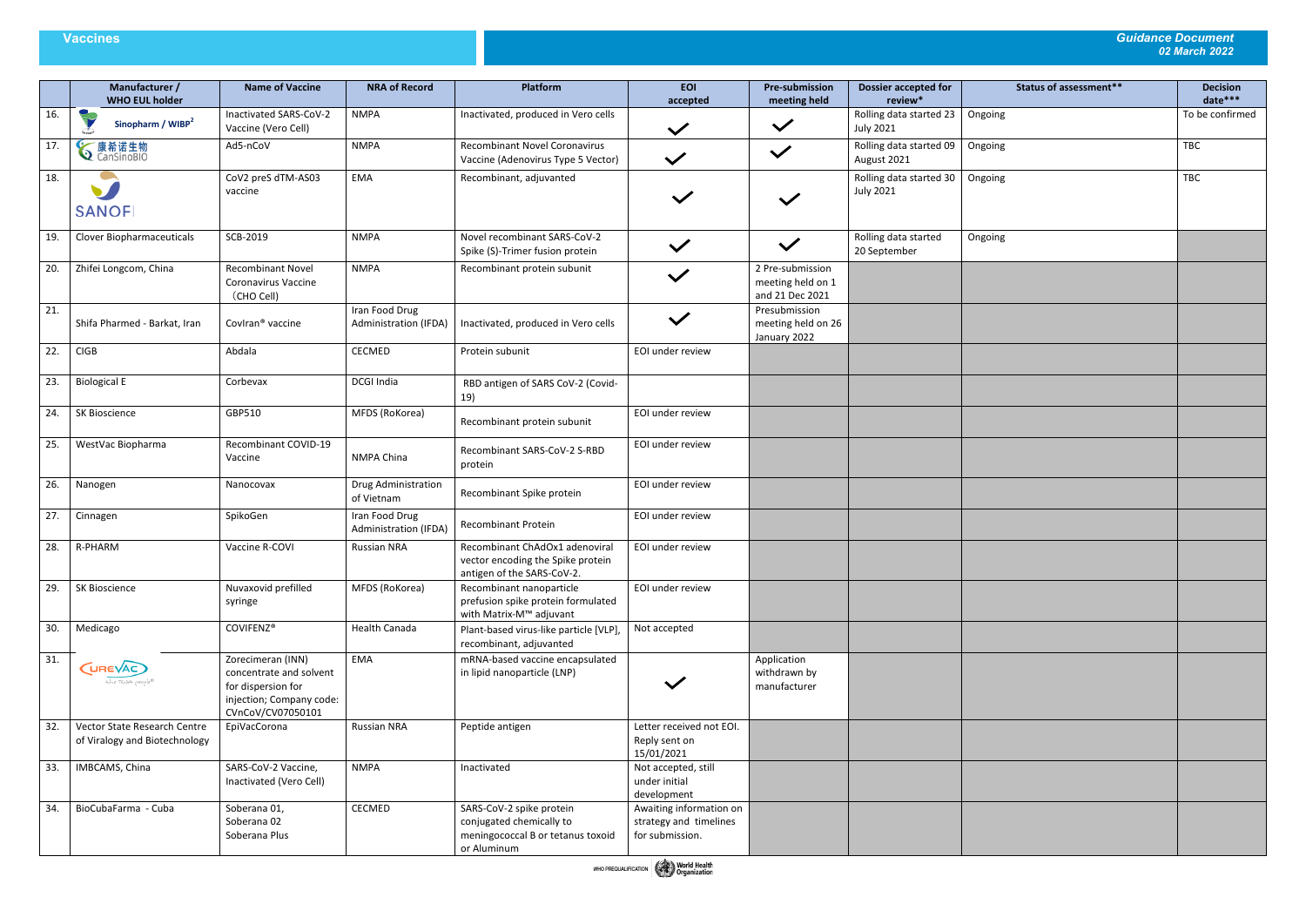|         | Status of assessment** | <b>Decision</b><br>date*** |
|---------|------------------------|----------------------------|
| Ongoing |                        | To be confirmed            |
|         |                        |                            |
| Ongoing |                        | TBC                        |
| Ongoing |                        | TBC                        |
|         |                        |                            |
| Ongoing |                        |                            |
|         |                        |                            |
|         |                        |                            |
|         |                        |                            |
|         |                        |                            |
|         |                        |                            |
|         |                        |                            |
|         |                        |                            |
|         |                        |                            |
|         |                        |                            |
|         |                        |                            |
|         |                        |                            |
|         |                        |                            |
|         |                        |                            |
|         |                        |                            |
|         |                        |                            |
|         |                        |                            |
|         |                        |                            |

|     | Manufacturer /<br><b>WHO EUL holder</b>                       | <b>Name of Vaccine</b>                                                                                              | <b>NRA of Record</b>                    | Platform                                                                                                 | <b>EOI</b><br>accepted                                               | <b>Pre-submission</b><br>meeting held                    | <b>Dossier accepted for</b><br>review*      |     |
|-----|---------------------------------------------------------------|---------------------------------------------------------------------------------------------------------------------|-----------------------------------------|----------------------------------------------------------------------------------------------------------|----------------------------------------------------------------------|----------------------------------------------------------|---------------------------------------------|-----|
| 16. | Sinopharm / WIBP <sup>2</sup>                                 | Inactivated SARS-CoV-2<br>Vaccine (Vero Cell)                                                                       | <b>NMPA</b>                             | Inactivated, produced in Vero cells                                                                      | $\checkmark$                                                         | $\checkmark$                                             | Rolling data started 23<br><b>July 2021</b> | Ong |
| 17. | <b>◇</b> 康希诺生物                                                | Ad5-nCoV                                                                                                            | <b>NMPA</b>                             | <b>Recombinant Novel Coronavirus</b><br>Vaccine (Adenovirus Type 5 Vector)                               | $\checkmark$                                                         | $\checkmark$                                             | Rolling data started 09<br>August 2021      | Ong |
| 18. | <b>SANOFI</b>                                                 | CoV2 preS dTM-AS03<br>vaccine                                                                                       | EMA                                     | Recombinant, adjuvanted                                                                                  |                                                                      |                                                          | Rolling data started 30<br><b>July 2021</b> | Ong |
| 19. | Clover Biopharmaceuticals                                     | SCB-2019                                                                                                            | <b>NMPA</b>                             | Novel recombinant SARS-CoV-2<br>Spike (S)-Trimer fusion protein                                          |                                                                      |                                                          | Rolling data started<br>20 September        | Ong |
| 20. | Zhifei Longcom, China                                         | <b>Recombinant Novel</b><br>Coronavirus Vaccine<br>(CHO Cell)                                                       | <b>NMPA</b>                             | Recombinant protein subunit                                                                              |                                                                      | 2 Pre-submission<br>meeting held on 1<br>and 21 Dec 2021 |                                             |     |
| 21. | Shifa Pharmed - Barkat, Iran                                  | Coviran <sup>®</sup> vaccine                                                                                        | Iran Food Drug<br>Administration (IFDA) | Inactivated, produced in Vero cells                                                                      | $\checkmark$                                                         | Presubmission<br>meeting held on 26<br>January 2022      |                                             |     |
| 22. | <b>CIGB</b>                                                   | Abdala                                                                                                              | CECMED                                  | Protein subunit                                                                                          | EOI under review                                                     |                                                          |                                             |     |
| 23. | <b>Biological E</b>                                           | Corbevax                                                                                                            | DCGI India                              | RBD antigen of SARS CoV-2 (Covid-<br>19)                                                                 |                                                                      |                                                          |                                             |     |
| 24. | SK Bioscience                                                 | GBP510                                                                                                              | MFDS (RoKorea)                          | Recombinant protein subunit                                                                              | EOI under review                                                     |                                                          |                                             |     |
| 25. | WestVac Biopharma                                             | Recombinant COVID-19<br>Vaccine                                                                                     | NMPA China                              | Recombinant SARS-CoV-2 S-RBD<br>protein                                                                  | EOI under review                                                     |                                                          |                                             |     |
| 26. | Nanogen                                                       | Nanocovax                                                                                                           | Drug Administration<br>of Vietnam       | Recombinant Spike protein                                                                                | EOI under review                                                     |                                                          |                                             |     |
| 27. | Cinnagen                                                      | SpikoGen                                                                                                            | Iran Food Drug<br>Administration (IFDA) | Recombinant Protein                                                                                      | EOI under review                                                     |                                                          |                                             |     |
| 28. | R-PHARM                                                       | Vaccine R-COVI                                                                                                      | <b>Russian NRA</b>                      | Recombinant ChAdOx1 adenoviral<br>vector encoding the Spike protein<br>antigen of the SARS-CoV-2.        | EOI under review                                                     |                                                          |                                             |     |
| 29. | SK Bioscience                                                 | Nuvaxovid prefilled<br>syringe                                                                                      | MFDS (RoKorea)                          | Recombinant nanoparticle<br>prefusion spike protein formulated<br>with Matrix-M™ adjuvant                | EOI under review                                                     |                                                          |                                             |     |
| 30. | Medicago                                                      | COVIFENZ®                                                                                                           | <b>Health Canada</b>                    | Plant-based virus-like particle [VLP],<br>recombinant, adjuvanted                                        | Not accepted                                                         |                                                          |                                             |     |
| 31. | <b>CUREVAC</b><br>the RNA people®                             | Zorecimeran (INN)<br>concentrate and solvent<br>for dispersion for<br>injection; Company code:<br>CVnCoV/CV07050101 | EMA                                     | mRNA-based vaccine encapsulated<br>in lipid nanoparticle (LNP)                                           |                                                                      | Application<br>withdrawn by<br>manufacturer              |                                             |     |
| 32. | Vector State Research Centre<br>of Viralogy and Biotechnology | EpiVacCorona                                                                                                        | Russian NRA                             | Peptide antigen                                                                                          | Letter received not EOI.<br>Reply sent on<br>15/01/2021              |                                                          |                                             |     |
| 33. | IMBCAMS, China                                                | SARS-CoV-2 Vaccine,<br>Inactivated (Vero Cell)                                                                      | <b>NMPA</b>                             | Inactivated                                                                                              | Not accepted, still<br>under initial<br>development                  |                                                          |                                             |     |
| 34. | BioCubaFarma - Cuba                                           | Soberana 01,<br>Soberana 02<br>Soberana Plus                                                                        | CECMED                                  | SARS-CoV-2 spike protein<br>conjugated chemically to<br>meningococcal B or tetanus toxoid<br>or Aluminum | Awaiting information on<br>strategy and timelines<br>for submission. |                                                          |                                             |     |